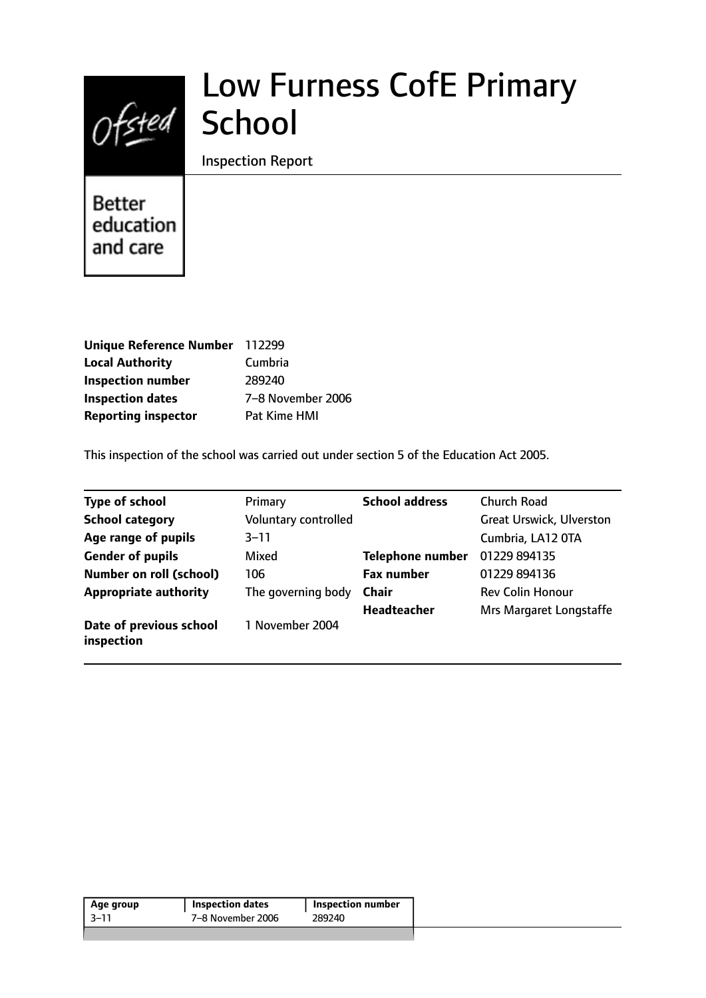

# Low Furness CofE Primary

## Inspection Report

Better education and care

| <b>Unique Reference Number</b> | 112299            |
|--------------------------------|-------------------|
| <b>Local Authority</b>         | Cumbria           |
| <b>Inspection number</b>       | 289240            |
| <b>Inspection dates</b>        | 7-8 November 2006 |
| <b>Reporting inspector</b>     | Pat Kime HMI      |

This inspection of the school was carried out under section 5 of the Education Act 2005.

| <b>Type of school</b>                 | Primary              | <b>School address</b>   | <b>Church Road</b>              |
|---------------------------------------|----------------------|-------------------------|---------------------------------|
| <b>School category</b>                | Voluntary controlled |                         | <b>Great Urswick, Ulverston</b> |
| Age range of pupils                   | $3 - 11$             |                         | Cumbria, LA12 OTA               |
| <b>Gender of pupils</b>               | Mixed                | <b>Telephone number</b> | 01229 894135                    |
| Number on roll (school)               | 106                  | <b>Fax number</b>       | 01229 894136                    |
| <b>Appropriate authority</b>          | The governing body   | <b>Chair</b>            | <b>Rev Colin Honour</b>         |
|                                       |                      | Headteacher             | Mrs Margaret Longstaffe         |
| Date of previous school<br>inspection | 1 November 2004      |                         |                                 |

|  | <b>Inspection number</b> | <b>Inspection dates</b> | Age group |
|--|--------------------------|-------------------------|-----------|
|  | 289240                   | 7-8 November 2006       | 3–11      |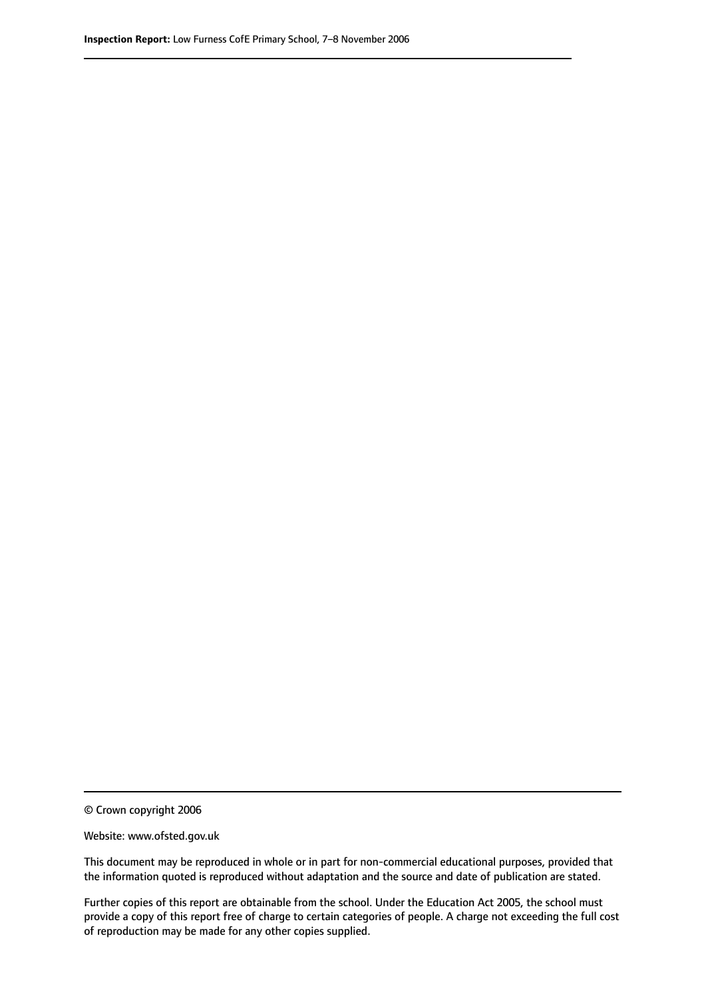© Crown copyright 2006

Website: www.ofsted.gov.uk

This document may be reproduced in whole or in part for non-commercial educational purposes, provided that the information quoted is reproduced without adaptation and the source and date of publication are stated.

Further copies of this report are obtainable from the school. Under the Education Act 2005, the school must provide a copy of this report free of charge to certain categories of people. A charge not exceeding the full cost of reproduction may be made for any other copies supplied.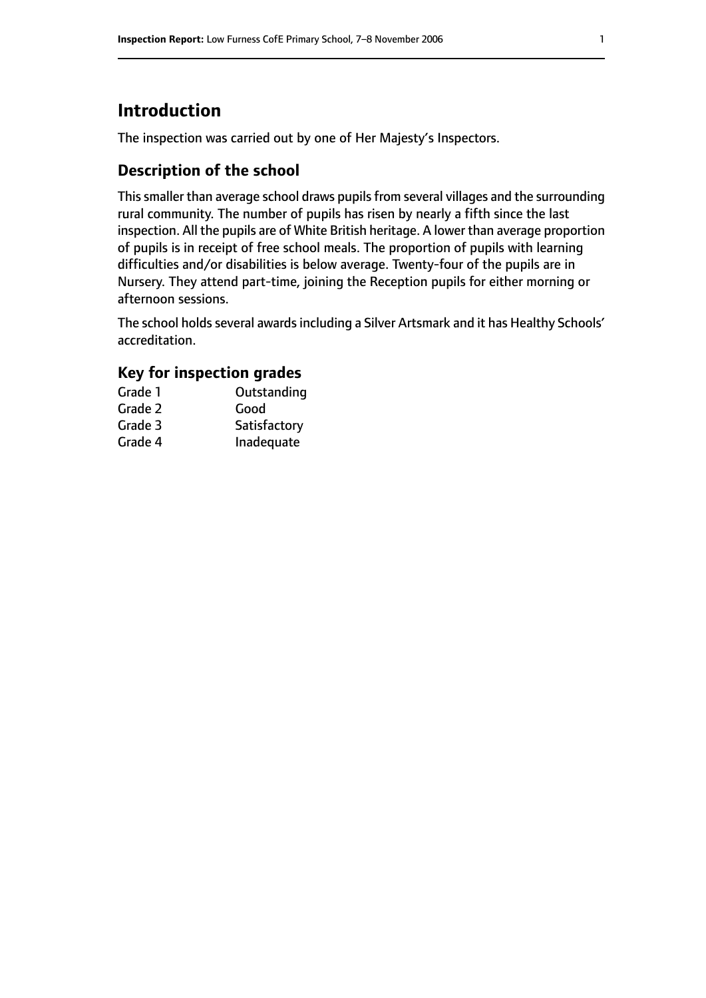# **Introduction**

The inspection was carried out by one of Her Majesty's Inspectors.

## **Description of the school**

This smaller than average school draws pupils from several villages and the surrounding rural community. The number of pupils has risen by nearly a fifth since the last inspection. All the pupils are of White British heritage. A lower than average proportion of pupils is in receipt of free school meals. The proportion of pupils with learning difficulties and/or disabilities is below average. Twenty-four of the pupils are in Nursery. They attend part-time, joining the Reception pupils for either morning or afternoon sessions.

The school holds several awards including a Silver Artsmark and it has Healthy Schools' accreditation.

## **Key for inspection grades**

| Grade 1 | Outstanding  |
|---------|--------------|
| Grade 2 | Good         |
| Grade 3 | Satisfactory |
| Grade 4 | Inadequate   |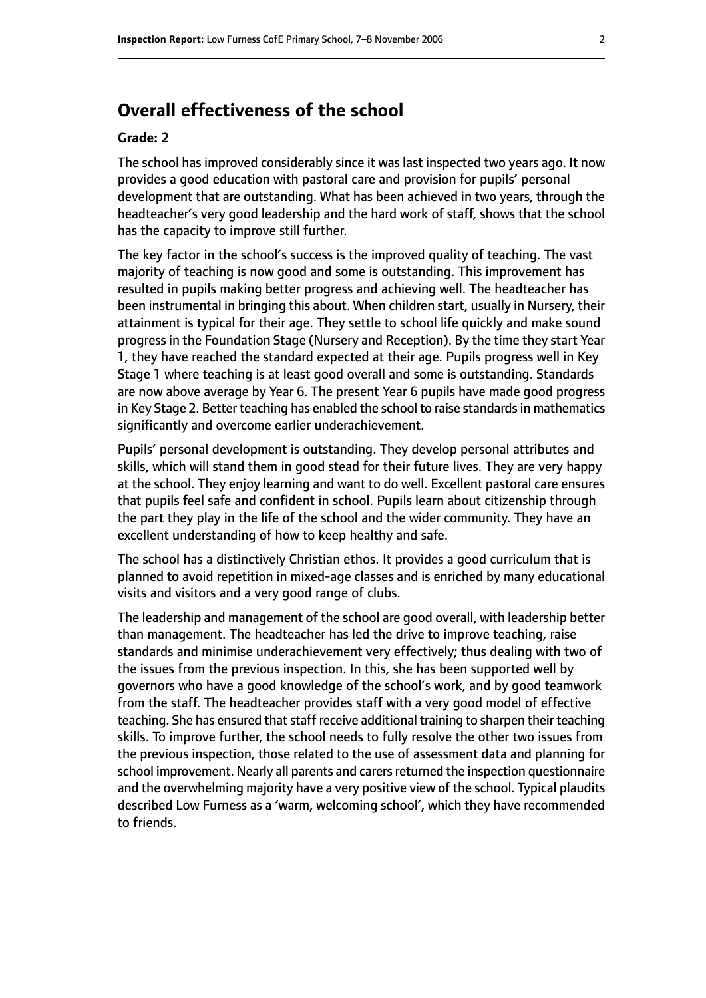# **Overall effectiveness of the school**

#### **Grade: 2**

The school has improved considerably since it was last inspected two years ago. It now provides a good education with pastoral care and provision for pupils' personal development that are outstanding. What has been achieved in two years, through the headteacher's very good leadership and the hard work of staff, shows that the school has the capacity to improve still further.

The key factor in the school's success is the improved quality of teaching. The vast majority of teaching is now good and some is outstanding. This improvement has resulted in pupils making better progress and achieving well. The headteacher has been instrumental in bringing this about. When children start, usually in Nursery, their attainment is typical for their age. They settle to school life quickly and make sound progress in the Foundation Stage (Nursery and Reception). By the time they start Year 1, they have reached the standard expected at their age. Pupils progress well in Key Stage 1 where teaching is at least good overall and some is outstanding. Standards are now above average by Year 6. The present Year 6 pupils have made good progress in Key Stage 2. Better teaching has enabled the school to raise standards in mathematics significantly and overcome earlier underachievement.

Pupils' personal development is outstanding. They develop personal attributes and skills, which will stand them in good stead for their future lives. They are very happy at the school. They enjoy learning and want to do well. Excellent pastoral care ensures that pupils feel safe and confident in school. Pupils learn about citizenship through the part they play in the life of the school and the wider community. They have an excellent understanding of how to keep healthy and safe.

The school has a distinctively Christian ethos. It provides a good curriculum that is planned to avoid repetition in mixed-age classes and is enriched by many educational visits and visitors and a very good range of clubs.

The leadership and management of the school are good overall, with leadership better than management. The headteacher has led the drive to improve teaching, raise standards and minimise underachievement very effectively; thus dealing with two of the issues from the previous inspection. In this, she has been supported well by governors who have a good knowledge of the school's work, and by good teamwork from the staff. The headteacher provides staff with a very good model of effective teaching. She has ensured that staff receive additional training to sharpen their teaching skills. To improve further, the school needs to fully resolve the other two issues from the previous inspection, those related to the use of assessment data and planning for school improvement. Nearly all parents and carers returned the inspection questionnaire and the overwhelming majority have a very positive view of the school. Typical plaudits described Low Furness as a 'warm, welcoming school', which they have recommended to friends.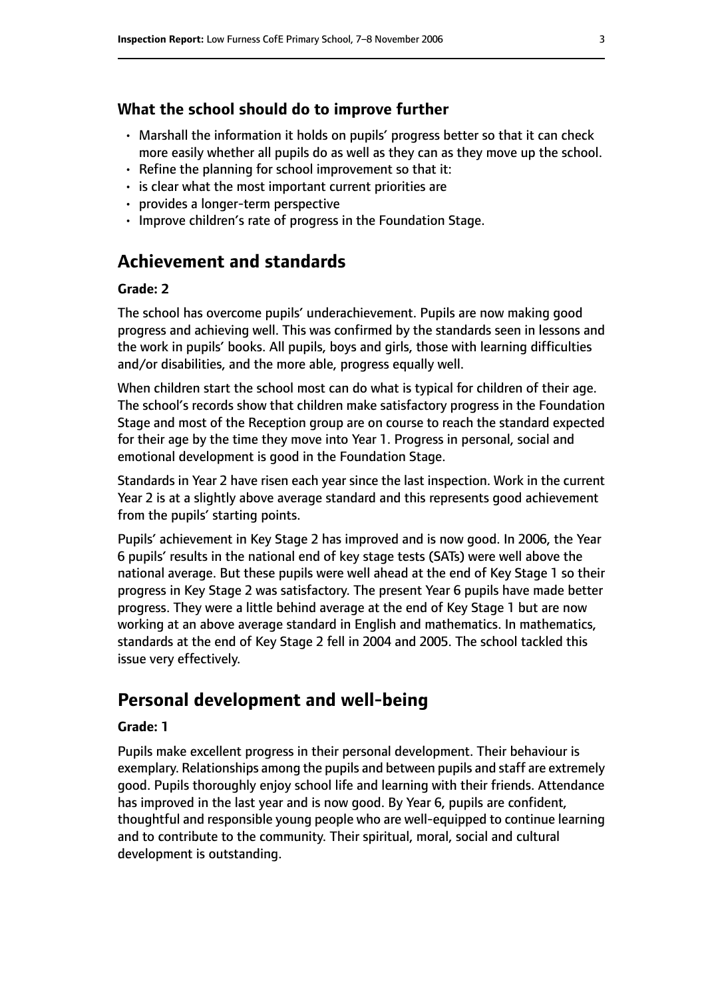#### **What the school should do to improve further**

- Marshall the information it holds on pupils' progress better so that it can check more easily whether all pupils do as well as they can as they move up the school.
- Refine the planning for school improvement so that it:
- is clear what the most important current priorities are
- provides a longer-term perspective
- Improve children's rate of progress in the Foundation Stage.

# **Achievement and standards**

#### **Grade: 2**

The school has overcome pupils' underachievement. Pupils are now making good progress and achieving well. This was confirmed by the standards seen in lessons and the work in pupils' books. All pupils, boys and girls, those with learning difficulties and/or disabilities, and the more able, progress equally well.

When children start the school most can do what is typical for children of their age. The school's records show that children make satisfactory progress in the Foundation Stage and most of the Reception group are on course to reach the standard expected for their age by the time they move into Year 1. Progress in personal, social and emotional development is good in the Foundation Stage.

Standards in Year 2 have risen each year since the last inspection. Work in the current Year 2 is at a slightly above average standard and this represents good achievement from the pupils' starting points.

Pupils' achievement in Key Stage 2 has improved and is now good. In 2006, the Year 6 pupils' results in the national end of key stage tests (SATs) were well above the national average. But these pupils were well ahead at the end of Key Stage 1 so their progress in Key Stage 2 was satisfactory. The present Year 6 pupils have made better progress. They were a little behind average at the end of Key Stage 1 but are now working at an above average standard in English and mathematics. In mathematics, standards at the end of Key Stage 2 fell in 2004 and 2005. The school tackled this issue very effectively.

# **Personal development and well-being**

#### **Grade: 1**

Pupils make excellent progress in their personal development. Their behaviour is exemplary. Relationships among the pupils and between pupils and staff are extremely good. Pupils thoroughly enjoy school life and learning with their friends. Attendance has improved in the last year and is now good. By Year 6, pupils are confident, thoughtful and responsible young people who are well-equipped to continue learning and to contribute to the community. Their spiritual, moral, social and cultural development is outstanding.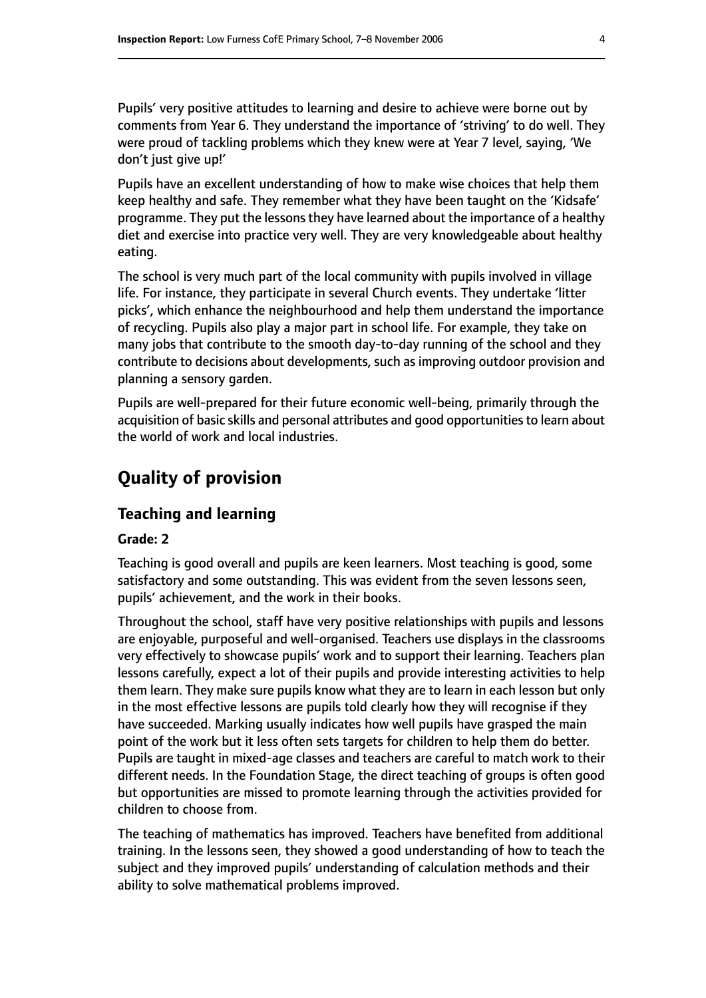Pupils' very positive attitudes to learning and desire to achieve were borne out by comments from Year 6. They understand the importance of 'striving' to do well. They were proud of tackling problems which they knew were at Year 7 level, saying, 'We don't just give up!'

Pupils have an excellent understanding of how to make wise choices that help them keep healthy and safe. They remember what they have been taught on the 'Kidsafe' programme. They put the lessons they have learned about the importance of a healthy diet and exercise into practice very well. They are very knowledgeable about healthy eating.

The school is very much part of the local community with pupils involved in village life. For instance, they participate in several Church events. They undertake 'litter picks', which enhance the neighbourhood and help them understand the importance of recycling. Pupils also play a major part in school life. For example, they take on many jobs that contribute to the smooth day-to-day running of the school and they contribute to decisions about developments, such as improving outdoor provision and planning a sensory garden.

Pupils are well-prepared for their future economic well-being, primarily through the acquisition of basic skills and personal attributes and good opportunities to learn about the world of work and local industries.

# **Quality of provision**

# **Teaching and learning**

#### **Grade: 2**

Teaching is good overall and pupils are keen learners. Most teaching is good, some satisfactory and some outstanding. This was evident from the seven lessons seen, pupils' achievement, and the work in their books.

Throughout the school, staff have very positive relationships with pupils and lessons are enjoyable, purposeful and well-organised. Teachers use displays in the classrooms very effectively to showcase pupils' work and to support their learning. Teachers plan lessons carefully, expect a lot of their pupils and provide interesting activities to help them learn. They make sure pupils know what they are to learn in each lesson but only in the most effective lessons are pupils told clearly how they will recognise if they have succeeded. Marking usually indicates how well pupils have grasped the main point of the work but it less often sets targets for children to help them do better. Pupils are taught in mixed-age classes and teachers are careful to match work to their different needs. In the Foundation Stage, the direct teaching of groups is often good but opportunities are missed to promote learning through the activities provided for children to choose from.

The teaching of mathematics has improved. Teachers have benefited from additional training. In the lessons seen, they showed a good understanding of how to teach the subject and they improved pupils' understanding of calculation methods and their ability to solve mathematical problems improved.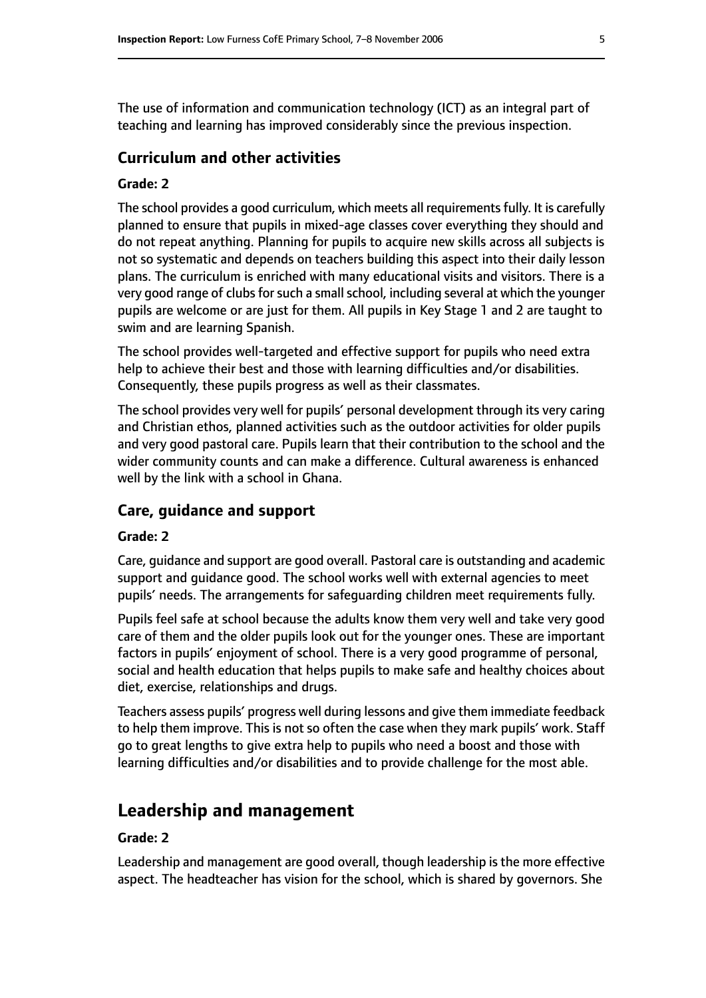The use of information and communication technology (ICT) as an integral part of teaching and learning has improved considerably since the previous inspection.

#### **Curriculum and other activities**

#### **Grade: 2**

The school provides a good curriculum, which meets all requirements fully. It is carefully planned to ensure that pupils in mixed-age classes cover everything they should and do not repeat anything. Planning for pupils to acquire new skills across all subjects is not so systematic and depends on teachers building this aspect into their daily lesson plans. The curriculum is enriched with many educational visits and visitors. There is a very good range of clubs for such a small school, including several at which the younger pupils are welcome or are just for them. All pupils in Key Stage 1 and 2 are taught to swim and are learning Spanish.

The school provides well-targeted and effective support for pupils who need extra help to achieve their best and those with learning difficulties and/or disabilities. Consequently, these pupils progress as well as their classmates.

The school provides very well for pupils' personal development through its very caring and Christian ethos, planned activities such as the outdoor activities for older pupils and very good pastoral care. Pupils learn that their contribution to the school and the wider community counts and can make a difference. Cultural awareness is enhanced well by the link with a school in Ghana.

#### **Care, guidance and support**

#### **Grade: 2**

Care, guidance and support are good overall. Pastoral care is outstanding and academic support and guidance good. The school works well with external agencies to meet pupils' needs. The arrangements for safeguarding children meet requirements fully.

Pupils feel safe at school because the adults know them very well and take very good care of them and the older pupils look out for the younger ones. These are important factors in pupils' enjoyment of school. There is a very good programme of personal, social and health education that helps pupils to make safe and healthy choices about diet, exercise, relationships and drugs.

Teachers assess pupils' progress well during lessons and give them immediate feedback to help them improve. This is not so often the case when they mark pupils' work. Staff go to great lengths to give extra help to pupils who need a boost and those with learning difficulties and/or disabilities and to provide challenge for the most able.

## **Leadership and management**

#### **Grade: 2**

Leadership and management are good overall, though leadership is the more effective aspect. The headteacher has vision for the school, which is shared by governors. She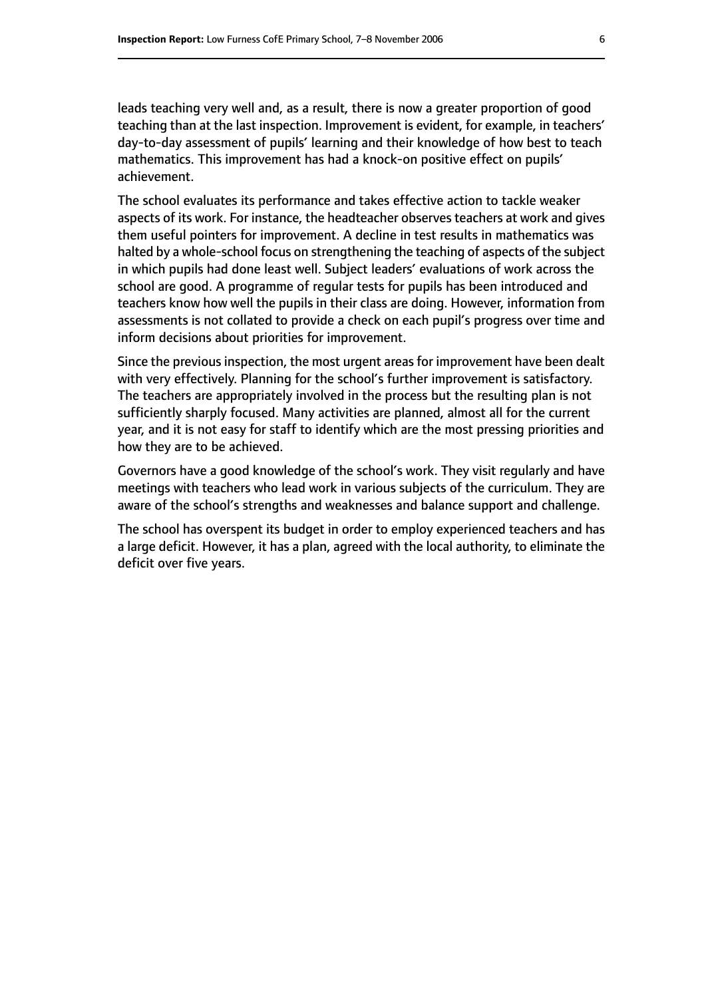leads teaching very well and, as a result, there is now a greater proportion of good teaching than at the last inspection. Improvement is evident, for example, in teachers' day-to-day assessment of pupils' learning and their knowledge of how best to teach mathematics. This improvement has had a knock-on positive effect on pupils' achievement.

The school evaluates its performance and takes effective action to tackle weaker aspects of its work. For instance, the headteacher observes teachers at work and gives them useful pointers for improvement. A decline in test results in mathematics was halted by a whole-school focus on strengthening the teaching of aspects of the subject in which pupils had done least well. Subject leaders' evaluations of work across the school are good. A programme of regular tests for pupils has been introduced and teachers know how well the pupils in their class are doing. However, information from assessments is not collated to provide a check on each pupil's progress over time and inform decisions about priorities for improvement.

Since the previous inspection, the most urgent areas for improvement have been dealt with very effectively. Planning for the school's further improvement is satisfactory. The teachers are appropriately involved in the process but the resulting plan is not sufficiently sharply focused. Many activities are planned, almost all for the current year, and it is not easy for staff to identify which are the most pressing priorities and how they are to be achieved.

Governors have a good knowledge of the school's work. They visit regularly and have meetings with teachers who lead work in various subjects of the curriculum. They are aware of the school's strengths and weaknesses and balance support and challenge.

The school has overspent its budget in order to employ experienced teachers and has a large deficit. However, it has a plan, agreed with the local authority, to eliminate the deficit over five years.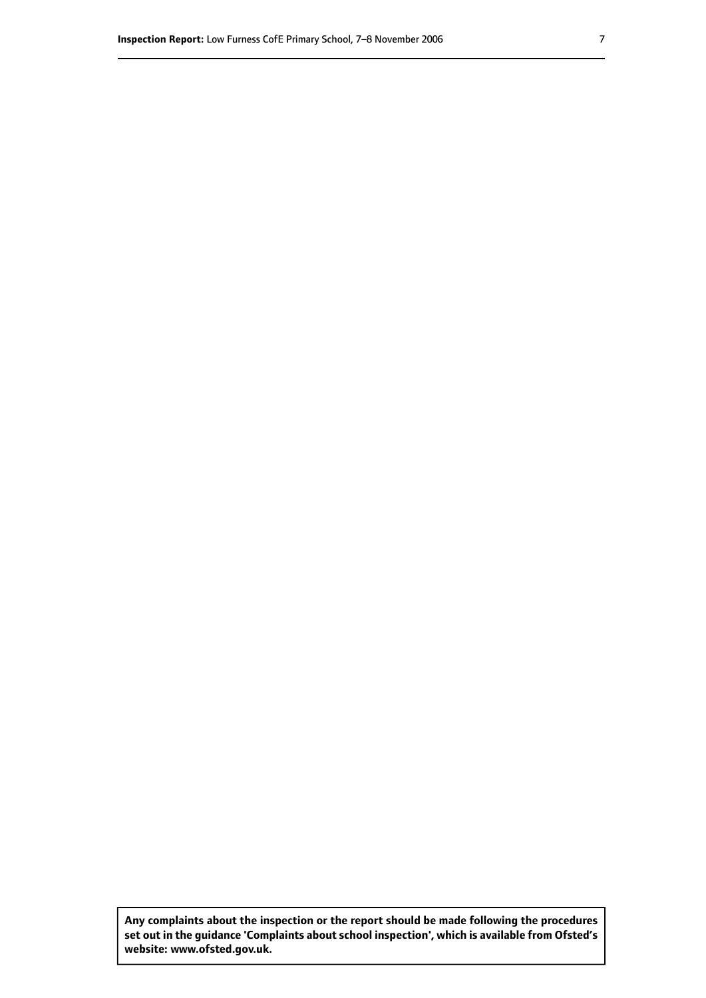**Any complaints about the inspection or the report should be made following the procedures set out inthe guidance 'Complaints about school inspection', whichis available from Ofsted's website: www.ofsted.gov.uk.**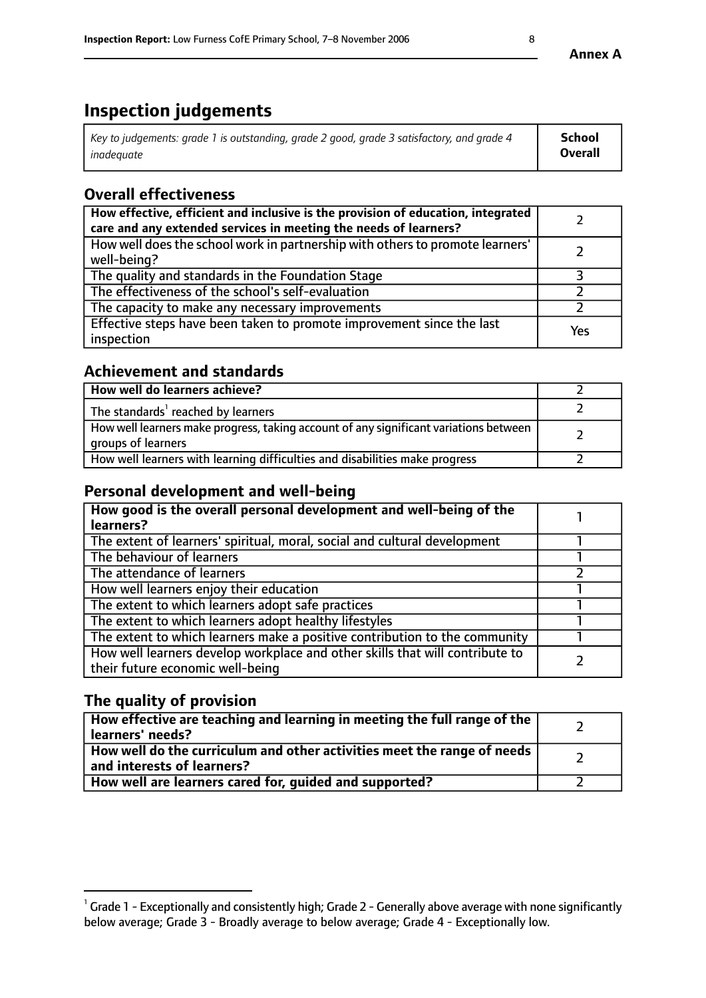# **Inspection judgements**

| Key to judgements: grade 1 is outstanding, grade 2 good, grade 3 satisfactory, and grade 4 | <b>School</b>  |
|--------------------------------------------------------------------------------------------|----------------|
| inadeauate                                                                                 | <b>Overall</b> |

# **Overall effectiveness**

| How effective, efficient and inclusive is the provision of education, integrated<br>care and any extended services in meeting the needs of learners? |     |
|------------------------------------------------------------------------------------------------------------------------------------------------------|-----|
| How well does the school work in partnership with others to promote learners'<br>well-being?                                                         |     |
| The quality and standards in the Foundation Stage                                                                                                    |     |
| The effectiveness of the school's self-evaluation                                                                                                    |     |
| The capacity to make any necessary improvements                                                                                                      |     |
| Effective steps have been taken to promote improvement since the last<br>inspection                                                                  | Yes |

## **Achievement and standards**

| How well do learners achieve?                                                                               |  |
|-------------------------------------------------------------------------------------------------------------|--|
| The standards <sup>1</sup> reached by learners                                                              |  |
| How well learners make progress, taking account of any significant variations between<br>groups of learners |  |
| How well learners with learning difficulties and disabilities make progress                                 |  |

## **Personal development and well-being**

| How good is the overall personal development and well-being of the<br>learners?                                  |  |
|------------------------------------------------------------------------------------------------------------------|--|
| The extent of learners' spiritual, moral, social and cultural development                                        |  |
| The behaviour of learners                                                                                        |  |
| The attendance of learners                                                                                       |  |
| How well learners enjoy their education                                                                          |  |
| The extent to which learners adopt safe practices                                                                |  |
| The extent to which learners adopt healthy lifestyles                                                            |  |
| The extent to which learners make a positive contribution to the community                                       |  |
| How well learners develop workplace and other skills that will contribute to<br>their future economic well-being |  |

# **The quality of provision**

| How effective are teaching and learning in meeting the full range of the<br>  learners' needs?                      |  |
|---------------------------------------------------------------------------------------------------------------------|--|
| $\mid$ How well do the curriculum and other activities meet the range of needs<br>$\mid$ and interests of learners? |  |
| How well are learners cared for, guided and supported?                                                              |  |

 $^1$  Grade 1 - Exceptionally and consistently high; Grade 2 - Generally above average with none significantly below average; Grade 3 - Broadly average to below average; Grade 4 - Exceptionally low.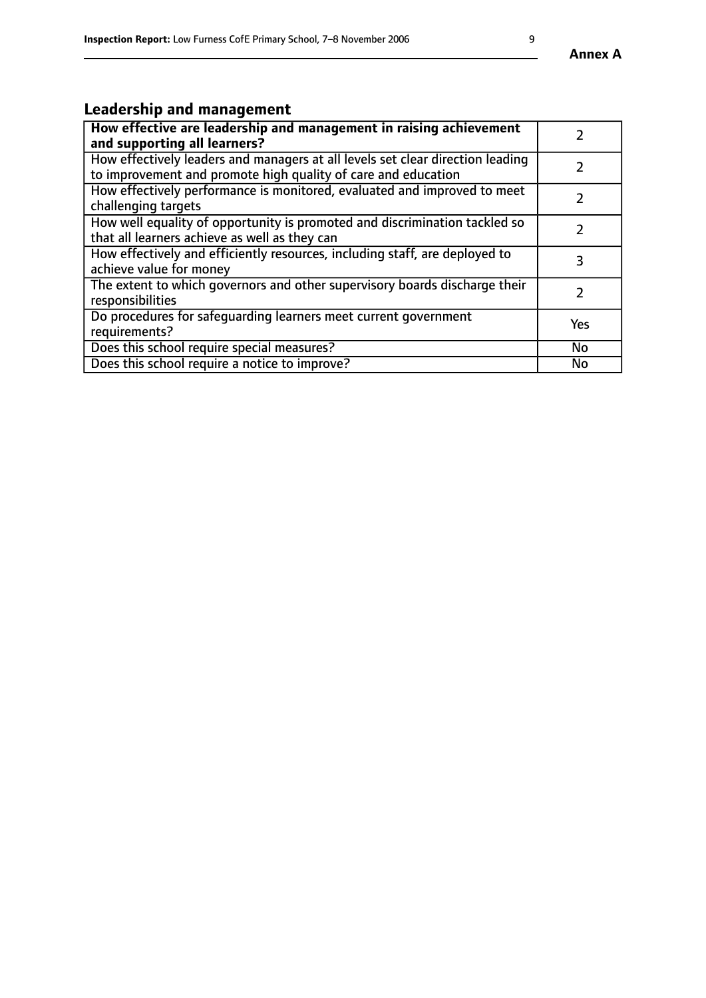# **Leadership and management**

| How effective are leadership and management in raising achievement<br>and supporting all learners?                                              |     |
|-------------------------------------------------------------------------------------------------------------------------------------------------|-----|
| How effectively leaders and managers at all levels set clear direction leading<br>to improvement and promote high quality of care and education |     |
| How effectively performance is monitored, evaluated and improved to meet<br>challenging targets                                                 |     |
| How well equality of opportunity is promoted and discrimination tackled so<br>that all learners achieve as well as they can                     |     |
| How effectively and efficiently resources, including staff, are deployed to<br>achieve value for money                                          | З   |
| The extent to which governors and other supervisory boards discharge their<br>responsibilities                                                  |     |
| Do procedures for safequarding learners meet current government<br>requirements?                                                                | Yes |
| Does this school require special measures?                                                                                                      | No  |
| Does this school require a notice to improve?                                                                                                   | No  |